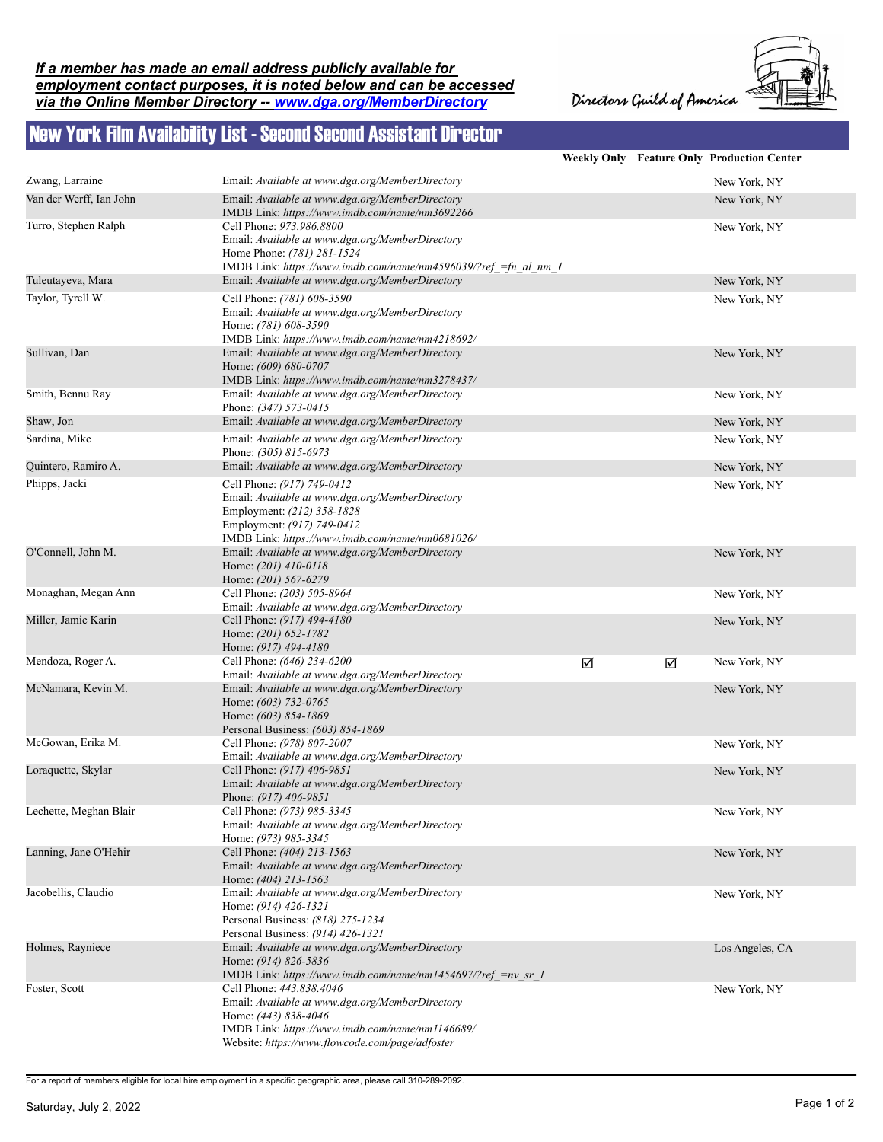## *If a member has made an email address publicly available for employment contact purposes, it is noted below and can be accessed via the Online Member Directory -- www.dga.org/MemberDirectory*

Directors Guild of America



## New York Film Availability List - Second Second Assistant Director

|                         |                                                                                                                                                                                                           |   |   | <b>Weekly Only Feature Only Production Center</b> |
|-------------------------|-----------------------------------------------------------------------------------------------------------------------------------------------------------------------------------------------------------|---|---|---------------------------------------------------|
| Zwang, Larraine         | Email: Available at www.dga.org/MemberDirectory                                                                                                                                                           |   |   | New York, NY                                      |
| Van der Werff, Ian John | Email: Available at www.dga.org/MemberDirectory<br>IMDB Link: https://www.imdb.com/name/nm3692266                                                                                                         |   |   | New York, NY                                      |
| Turro, Stephen Ralph    | Cell Phone: 973.986.8800<br>Email: Available at www.dga.org/MemberDirectory<br>Home Phone: (781) 281-1524<br>IMDB Link: https://www.imdb.com/name/nm4596039/?ref =fn al nm 1                              |   |   | New York, NY                                      |
| Tuleutayeva, Mara       | Email: Available at www.dga.org/MemberDirectory                                                                                                                                                           |   |   | New York, NY                                      |
| Taylor, Tyrell W.       | Cell Phone: (781) 608-3590<br>Email: Available at www.dga.org/MemberDirectory<br>Home: (781) 608-3590<br>IMDB Link: https://www.imdb.com/name/nm4218692/                                                  |   |   | New York, NY                                      |
| Sullivan, Dan           | Email: Available at www.dga.org/MemberDirectory<br>Home: (609) 680-0707<br>IMDB Link: https://www.imdb.com/name/nm3278437/                                                                                |   |   | New York, NY                                      |
| Smith, Bennu Ray        | Email: Available at www.dga.org/MemberDirectory<br>Phone: (347) 573-0415                                                                                                                                  |   |   | New York, NY                                      |
| Shaw, Jon               | Email: Available at www.dga.org/MemberDirectory                                                                                                                                                           |   |   | New York, NY                                      |
| Sardina, Mike           | Email: Available at www.dga.org/MemberDirectory<br>Phone: (305) 815-6973                                                                                                                                  |   |   | New York, NY                                      |
| Quintero, Ramiro A.     | Email: Available at www.dga.org/MemberDirectory                                                                                                                                                           |   |   | New York, NY                                      |
| Phipps, Jacki           | Cell Phone: (917) 749-0412<br>Email: Available at www.dga.org/MemberDirectory<br>Employment: (212) 358-1828<br>Employment: (917) 749-0412<br>IMDB Link: https://www.imdb.com/name/nm0681026/              |   |   | New York, NY                                      |
| O'Connell, John M.      | Email: Available at www.dga.org/MemberDirectory<br>Home: (201) 410-0118<br>Home: (201) 567-6279                                                                                                           |   |   | New York, NY                                      |
| Monaghan, Megan Ann     | Cell Phone: (203) 505-8964<br>Email: Available at www.dga.org/MemberDirectory                                                                                                                             |   |   | New York, NY                                      |
| Miller, Jamie Karin     | Cell Phone: (917) 494-4180<br>Home: (201) 652-1782<br>Home: (917) 494-4180                                                                                                                                |   |   | New York, NY                                      |
| Mendoza, Roger A.       | Cell Phone: (646) 234-6200<br>Email: Available at www.dga.org/MemberDirectory                                                                                                                             | ☑ | ☑ | New York, NY                                      |
| McNamara, Kevin M.      | Email: Available at www.dga.org/MemberDirectory<br>Home: (603) 732-0765<br>Home: (603) 854-1869<br>Personal Business: (603) 854-1869                                                                      |   |   | New York, NY                                      |
| McGowan, Erika M.       | Cell Phone: (978) 807-2007<br>Email: Available at www.dga.org/MemberDirectory                                                                                                                             |   |   | New York, NY                                      |
| Loraquette, Skylar      | Cell Phone: (917) 406-9851<br>Email: Available at www.dga.org/MemberDirectory<br>Phone: (917) 406-9851                                                                                                    |   |   | New York, NY                                      |
| Lechette, Meghan Blair  | Cell Phone: (973) 985-3345<br>Email: Available at www.dga.org/MemberDirectory<br>Home: (973) 985-3345                                                                                                     |   |   | New York, NY                                      |
| Lanning, Jane O'Hehir   | Cell Phone: (404) 213-1563<br>Email: Available at www.dga.org/MemberDirectory<br>Home: (404) 213-1563                                                                                                     |   |   | New York, NY                                      |
| Jacobellis, Claudio     | Email: Available at www.dga.org/MemberDirectory<br>Home: (914) 426-1321<br>Personal Business: (818) 275-1234<br>Personal Business: (914) 426-1321                                                         |   |   | New York, NY                                      |
| Holmes, Rayniece        | Email: Available at www.dga.org/MemberDirectory<br>Home: (914) 826-5836<br>IMDB Link: https://www.imdb.com/name/nm1454697/?ref =nv sr 1                                                                   |   |   | Los Angeles, CA                                   |
| Foster, Scott           | Cell Phone: 443.838.4046<br>Email: Available at www.dga.org/MemberDirectory<br>Home: (443) 838-4046<br>IMDB Link: https://www.imdb.com/name/nm1146689/<br>Website: https://www.flowcode.com/page/adfoster |   |   | New York, NY                                      |

For a report of members eligible for local hire employment in a specific geographic area, please call 310-289-2092.